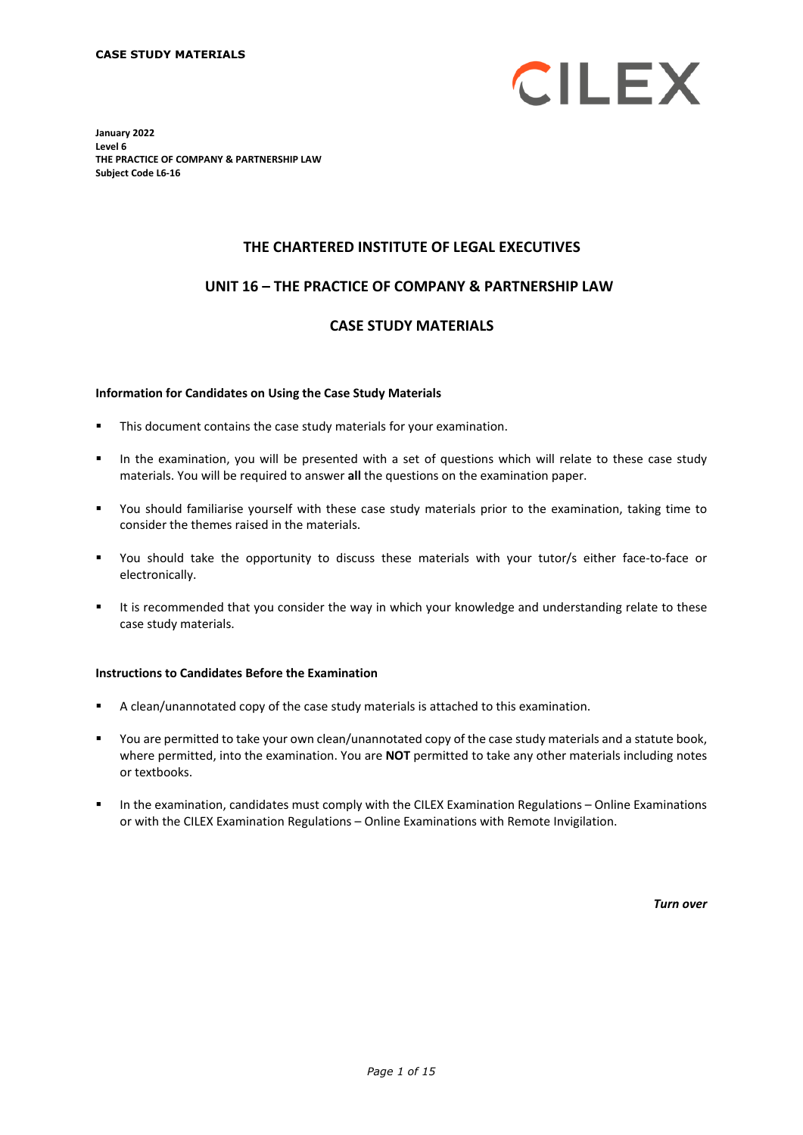

**January 2022 Level 6 THE PRACTICE OF COMPANY & PARTNERSHIP LAW Subject Code L6-16**

# **THE CHARTERED INSTITUTE OF LEGAL EXECUTIVES**

# **UNIT 16 – THE PRACTICE OF COMPANY & PARTNERSHIP LAW\***

# **CASE STUDY MATERIALS**

#### **Information for Candidates on Using the Case Study Materials**

- This document contains the case study materials for your examination.
- In the examination, you will be presented with a set of questions which will relate to these case study materials. You will be required to answer **all** the questions on the examination paper.
- You should familiarise yourself with these case study materials prior to the examination, taking time to consider the themes raised in the materials.
- You should take the opportunity to discuss these materials with your tutor/s either face-to-face or electronically.
- It is recommended that you consider the way in which your knowledge and understanding relate to these case study materials.

#### **Instructions to Candidates Before the Examination**

- A clean/unannotated copy of the case study materials is attached to this examination.
- You are permitted to take your own clean/unannotated copy of the case study materials and a statute book, where permitted, into the examination. You are **NOT** permitted to take any other materials including notes or textbooks.
- In the examination, candidates must comply with the CILEX Examination Regulations Online Examinations or with the CILEX Examination Regulations – Online Examinations with Remote Invigilation.

*Turn over*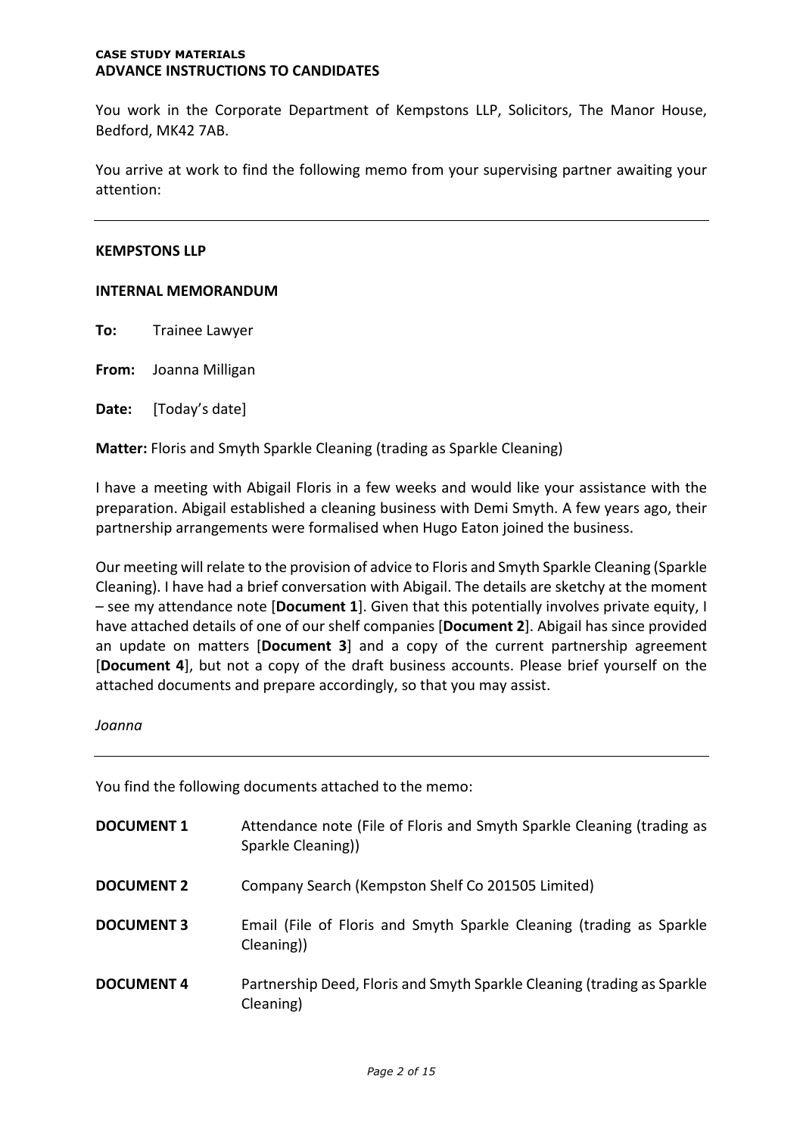#### **CASE STUDY MATERIALS ADVANCE INSTRUCTIONS TO CANDIDATES**

You work in the Corporate Department of Kempstons LLP, Solicitors, The Manor House, Bedford, MK42 7AB.

You arrive at work to find the following memo from your supervising partner awaiting your attention:

# **KEMPSTONS LLP**

# **INTERNAL MEMORANDUM**

**To:** Trainee Lawyer

**From:** Joanna Milligan

**Date:** [Today's date]

**Matter:** Floris and Smyth Sparkle Cleaning (trading as Sparkle Cleaning)

I have a meeting with Abigail Floris in a few weeks and would like your assistance with the preparation. Abigail established a cleaning business with Demi Smyth. A few years ago, their partnership arrangements were formalised when Hugo Eaton joined the business.

Our meeting will relate to the provision of advice to Floris and Smyth Sparkle Cleaning (Sparkle Cleaning). I have had a brief conversation with Abigail. The details are sketchy at the moment – see my attendance note [**Document 1**]. Given that this potentially involves private equity, I have attached details of one of our shelf companies [**Document 2**]. Abigail has since provided an update on matters [**Document 3**] and a copy of the current partnership agreement [**Document 4**], but not a copy of the draft business accounts. Please brief yourself on the attached documents and prepare accordingly, so that you may assist.

## *Joanna*

You find the following documents attached to the memo:

| <b>DOCUMENT 1</b> | Attendance note (File of Floris and Smyth Sparkle Cleaning (trading as<br>Sparkle Cleaning)) |
|-------------------|----------------------------------------------------------------------------------------------|
| <b>DOCUMENT 2</b> | Company Search (Kempston Shelf Co 201505 Limited)                                            |
| <b>DOCUMENT 3</b> | Email (File of Floris and Smyth Sparkle Cleaning (trading as Sparkle<br>Cleaning))           |
| <b>DOCUMENT 4</b> | Partnership Deed, Floris and Smyth Sparkle Cleaning (trading as Sparkle<br>Cleaning)         |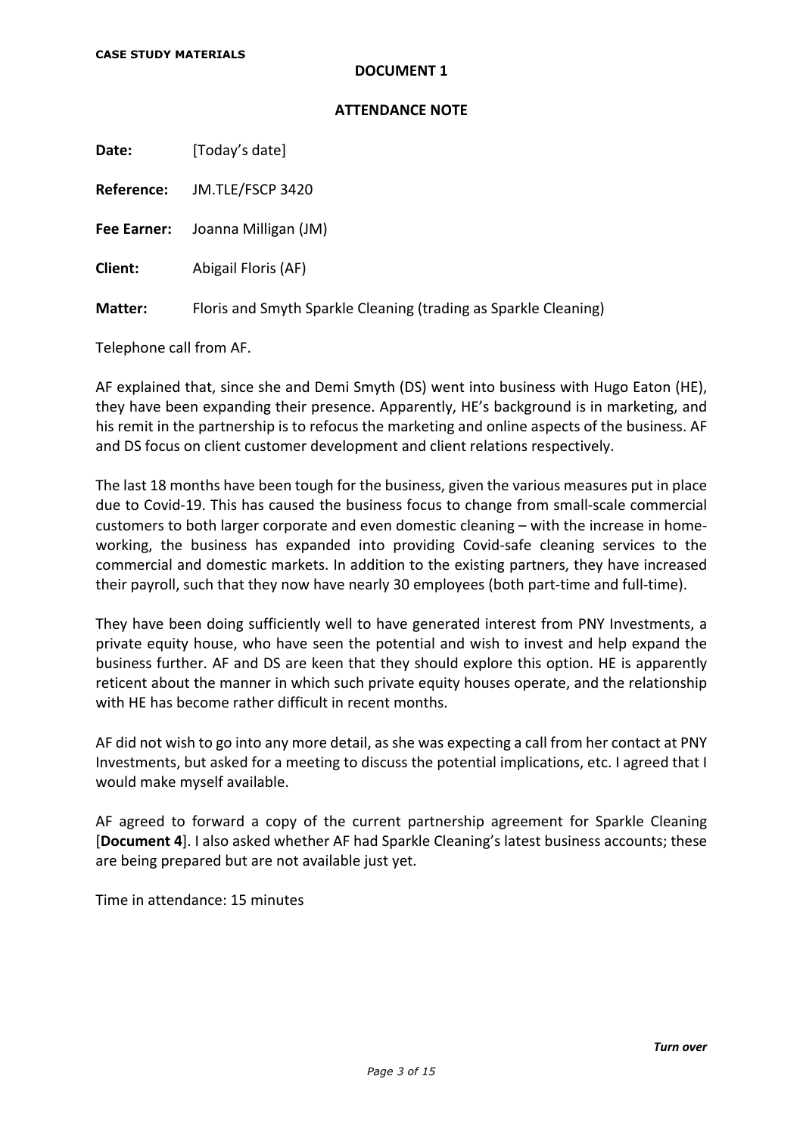# **DOCUMENT 1**

# **ATTENDANCE NOTE**

**Date:** [Today's date]

**Reference:** JM.TLE/FSCP 3420

**Fee Earner:** Joanna Milligan (JM)

**Client:** Abigail Floris (AF)

**Matter:** Floris and Smyth Sparkle Cleaning (trading as Sparkle Cleaning)

Telephone call from AF.

AF explained that, since she and Demi Smyth (DS) went into business with Hugo Eaton (HE), they have been expanding their presence. Apparently, HE's background is in marketing, and his remit in the partnership is to refocus the marketing and online aspects of the business. AF and DS focus on client customer development and client relations respectively.

The last 18 months have been tough for the business, given the various measures put in place due to Covid-19. This has caused the business focus to change from small-scale commercial customers to both larger corporate and even domestic cleaning – with the increase in homeworking, the business has expanded into providing Covid-safe cleaning services to the commercial and domestic markets. In addition to the existing partners, they have increased their payroll, such that they now have nearly 30 employees (both part-time and full-time).

They have been doing sufficiently well to have generated interest from PNY Investments, a private equity house, who have seen the potential and wish to invest and help expand the business further. AF and DS are keen that they should explore this option. HE is apparently reticent about the manner in which such private equity houses operate, and the relationship with HE has become rather difficult in recent months.

AF did not wish to go into any more detail, as she was expecting a call from her contact at PNY Investments, but asked for a meeting to discuss the potential implications, etc. I agreed that I would make myself available.

AF agreed to forward a copy of the current partnership agreement for Sparkle Cleaning [**Document 4**]. I also asked whether AF had Sparkle Cleaning's latest business accounts; these are being prepared but are not available just yet.

Time in attendance: 15 minutes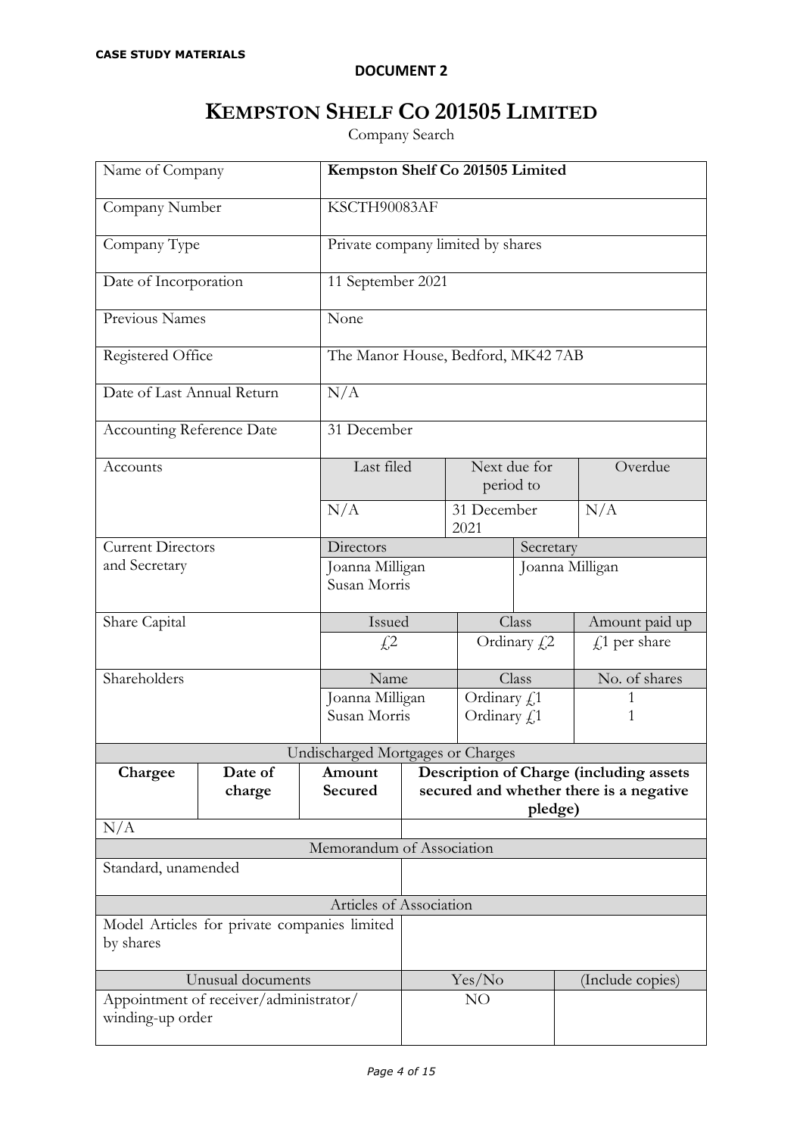# **DOCUMENT 2**

# **KEMPSTON SHELF CO 201505 LIMITED**

Company Search

| Name of Company                                            |         | Kempston Shelf Co 201505 Limited  |                                    |                 |           |                                         |
|------------------------------------------------------------|---------|-----------------------------------|------------------------------------|-----------------|-----------|-----------------------------------------|
| Company Number                                             |         |                                   | KSCTH90083AF                       |                 |           |                                         |
| Company Type                                               |         |                                   | Private company limited by shares  |                 |           |                                         |
| Date of Incorporation                                      |         |                                   | 11 September 2021                  |                 |           |                                         |
| Previous Names                                             |         | None                              |                                    |                 |           |                                         |
| Registered Office                                          |         |                                   | The Manor House, Bedford, MK42 7AB |                 |           |                                         |
| Date of Last Annual Return                                 |         | N/A                               |                                    |                 |           |                                         |
| <b>Accounting Reference Date</b>                           |         |                                   | 31 December                        |                 |           |                                         |
| Accounts                                                   |         | Last filed                        | Next due for<br>period to          |                 |           | Overdue                                 |
|                                                            |         | N/A                               | 31 December<br>2021                |                 |           | N/A                                     |
| <b>Current Directors</b>                                   |         | Directors                         |                                    |                 | Secretary |                                         |
| and Secretary                                              |         | Joanna Milligan                   |                                    | Joanna Milligan |           |                                         |
|                                                            |         |                                   | Susan Morris                       |                 |           |                                         |
| Share Capital                                              |         | Issued                            |                                    | Class           |           | Amount paid up                          |
|                                                            |         | £2                                |                                    | Ordinary $fz$   |           | $f1$ per share                          |
| Shareholders                                               |         | Name                              |                                    | Class           |           | No. of shares                           |
|                                                            |         | Joanna Milligan                   |                                    | Ordinary £1     |           |                                         |
|                                                            |         | Susan Morris                      |                                    | Ordinary £1     |           | 1                                       |
|                                                            |         | Undischarged Mortgages or Charges |                                    |                 |           |                                         |
| Chargee                                                    | Date of | Amount                            |                                    |                 |           | Description of Charge (including assets |
|                                                            | charge  | Secured                           |                                    |                 |           | secured and whether there is a negative |
|                                                            |         |                                   |                                    |                 | pledge)   |                                         |
| N/A<br>Memorandum of Association                           |         |                                   |                                    |                 |           |                                         |
| Standard, unamended                                        |         |                                   |                                    |                 |           |                                         |
|                                                            |         |                                   |                                    |                 |           |                                         |
| Articles of Association                                    |         |                                   |                                    |                 |           |                                         |
| Model Articles for private companies limited<br>by shares  |         |                                   |                                    |                 |           |                                         |
| Unusual documents                                          |         |                                   |                                    | Yes/No          |           | (Include copies)                        |
| Appointment of receiver/administrator/<br>winding-up order |         |                                   |                                    | NO              |           |                                         |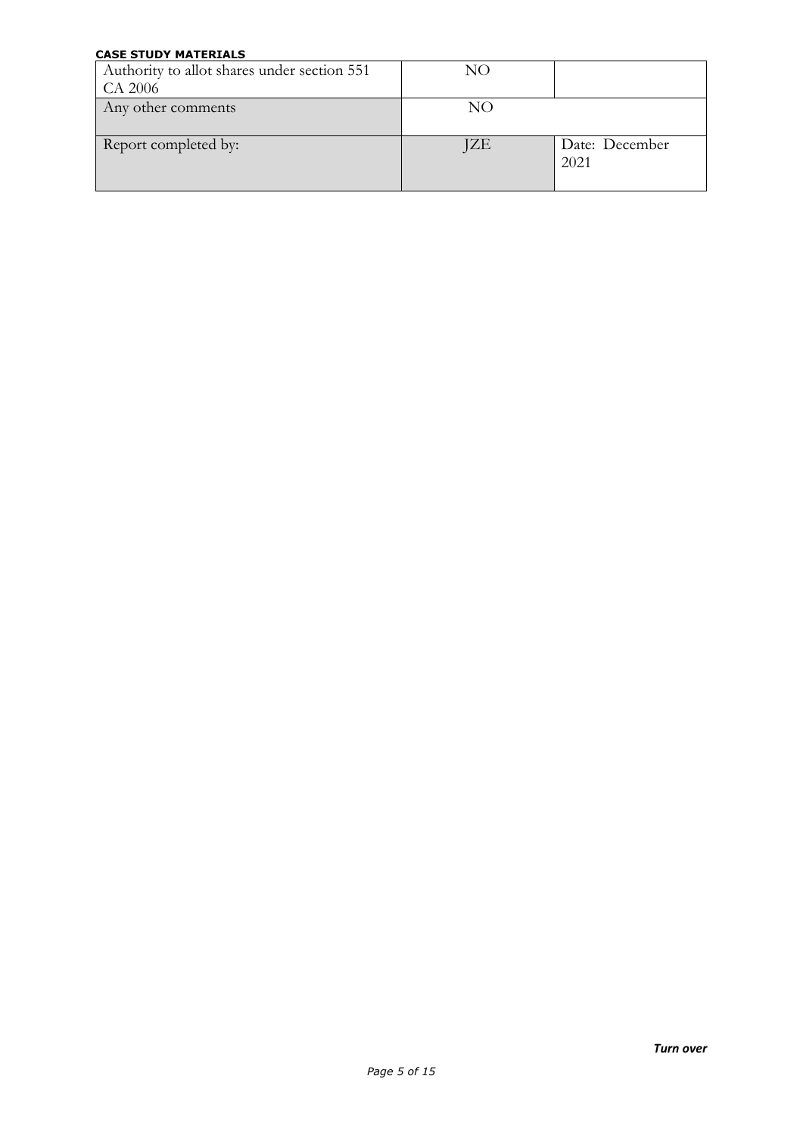| Authority to allot shares under section 551<br>CA 2006 | NO  |                        |
|--------------------------------------------------------|-----|------------------------|
| Any other comments                                     | NO  |                        |
| Report completed by:                                   | JZE | Date: December<br>2021 |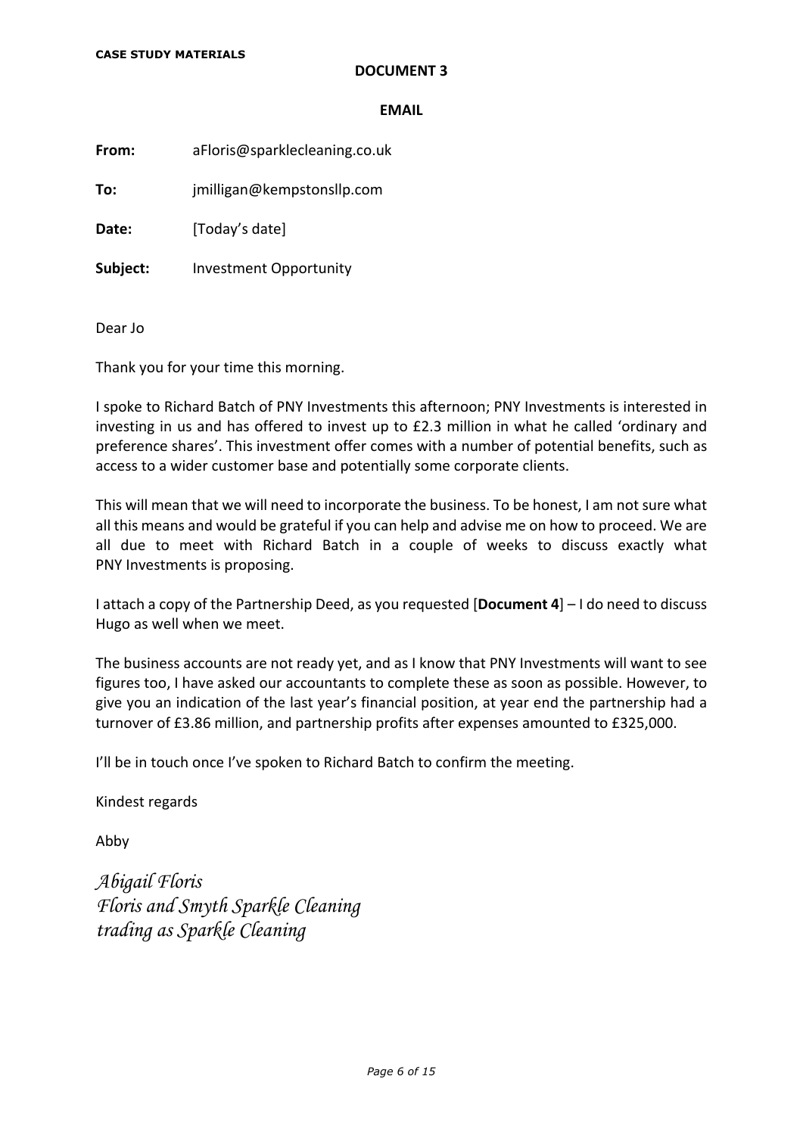# **DOCUMENT 3**

#### **EMAIL**

**From:** aFloris@sparklecleaning.co.uk

**To:** jmilligan@kempstonsllp.com

**Date:** [Today's date]

**Subject:** Investment Opportunity

Dear Jo

Thank you for your time this morning.

I spoke to Richard Batch of PNY Investments this afternoon; PNY Investments is interested in investing in us and has offered to invest up to £2.3 million in what he called 'ordinary and preference shares'. This investment offer comes with a number of potential benefits, such as access to a wider customer base and potentially some corporate clients.

This will mean that we will need to incorporate the business. To be honest, I am not sure what all this means and would be grateful if you can help and advise me on how to proceed. We are all due to meet with Richard Batch in a couple of weeks to discuss exactly what PNY Investments is proposing.

I attach a copy of the Partnership Deed, as you requested [**Document 4**] – I do need to discuss Hugo as well when we meet.

The business accounts are not ready yet, and as I know that PNY Investments will want to see figures too, I have asked our accountants to complete these as soon as possible. However, to give you an indication of the last year's financial position, at year end the partnership had a turnover of £3.86 million, and partnership profits after expenses amounted to £325,000.

I'll be in touch once I've spoken to Richard Batch to confirm the meeting.

Kindest regards

Abby

*Abigail Floris Floris and Smyth Sparkle Cleaning trading as Sparkle Cleaning*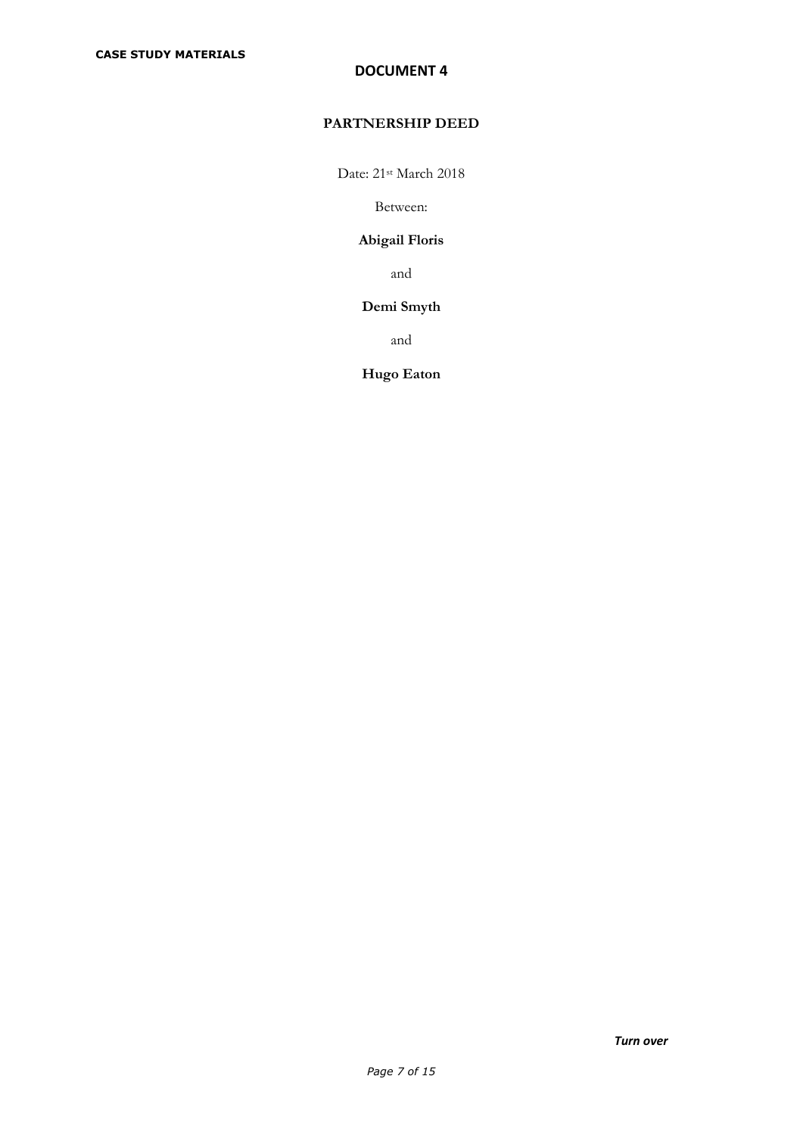# **DOCUMENT 4**

# **PARTNERSHIP DEED**

Date: 21<sup>st</sup> March 2018

Between:

# **Abigail Floris**

and

# **Demi Smyth**

and

# **Hugo Eaton**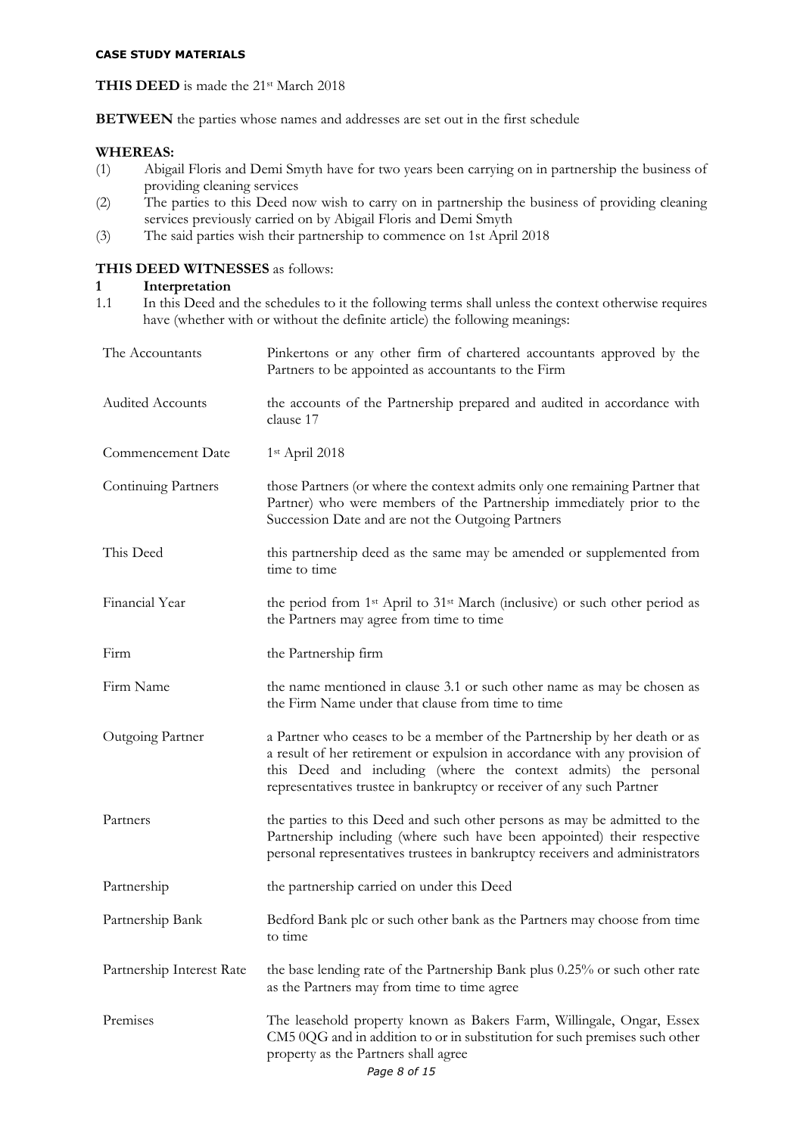# **THIS DEED** is made the 21<sup>st</sup> March 2018

**BETWEEN** the parties whose names and addresses are set out in the first schedule

# **WHEREAS:**

- (1) Abigail Floris and Demi Smyth have for two years been carrying on in partnership the business of providing cleaning services
- (2) The parties to this Deed now wish to carry on in partnership the business of providing cleaning services previously carried on by Abigail Floris and Demi Smyth
- (3) The said parties wish their partnership to commence on 1st April 2018

# **THIS DEED WITNESSES** as follows:

# **1 Interpretation**<br>**1.1** In this Deed and

In this Deed and the schedules to it the following terms shall unless the context otherwise requires have (whether with or without the definite article) the following meanings:

| The Accountants           | Pinkertons or any other firm of chartered accountants approved by the<br>Partners to be appointed as accountants to the Firm                                                                                                                                                                         |
|---------------------------|------------------------------------------------------------------------------------------------------------------------------------------------------------------------------------------------------------------------------------------------------------------------------------------------------|
| <b>Audited Accounts</b>   | the accounts of the Partnership prepared and audited in accordance with<br>clause 17                                                                                                                                                                                                                 |
| Commencement Date         | $1st$ April 2018                                                                                                                                                                                                                                                                                     |
| Continuing Partners       | those Partners (or where the context admits only one remaining Partner that<br>Partner) who were members of the Partnership immediately prior to the<br>Succession Date and are not the Outgoing Partners                                                                                            |
| This Deed                 | this partnership deed as the same may be amended or supplemented from<br>time to time                                                                                                                                                                                                                |
| Financial Year            | the period from 1 <sup>st</sup> April to 31 <sup>st</sup> March (inclusive) or such other period as<br>the Partners may agree from time to time                                                                                                                                                      |
| Firm                      | the Partnership firm                                                                                                                                                                                                                                                                                 |
| Firm Name                 | the name mentioned in clause 3.1 or such other name as may be chosen as<br>the Firm Name under that clause from time to time                                                                                                                                                                         |
| Outgoing Partner          | a Partner who ceases to be a member of the Partnership by her death or as<br>a result of her retirement or expulsion in accordance with any provision of<br>this Deed and including (where the context admits) the personal<br>representatives trustee in bankruptcy or receiver of any such Partner |
| Partners                  | the parties to this Deed and such other persons as may be admitted to the<br>Partnership including (where such have been appointed) their respective<br>personal representatives trustees in bankruptcy receivers and administrators                                                                 |
| Partnership               | the partnership carried on under this Deed                                                                                                                                                                                                                                                           |
| Partnership Bank          | Bedford Bank plc or such other bank as the Partners may choose from time<br>to time                                                                                                                                                                                                                  |
| Partnership Interest Rate | the base lending rate of the Partnership Bank plus 0.25% or such other rate<br>as the Partners may from time to time agree                                                                                                                                                                           |
| Premises                  | The leasehold property known as Bakers Farm, Willingale, Ongar, Essex<br>CM5 0QG and in addition to or in substitution for such premises such other<br>property as the Partners shall agree<br>Page 8 of 15                                                                                          |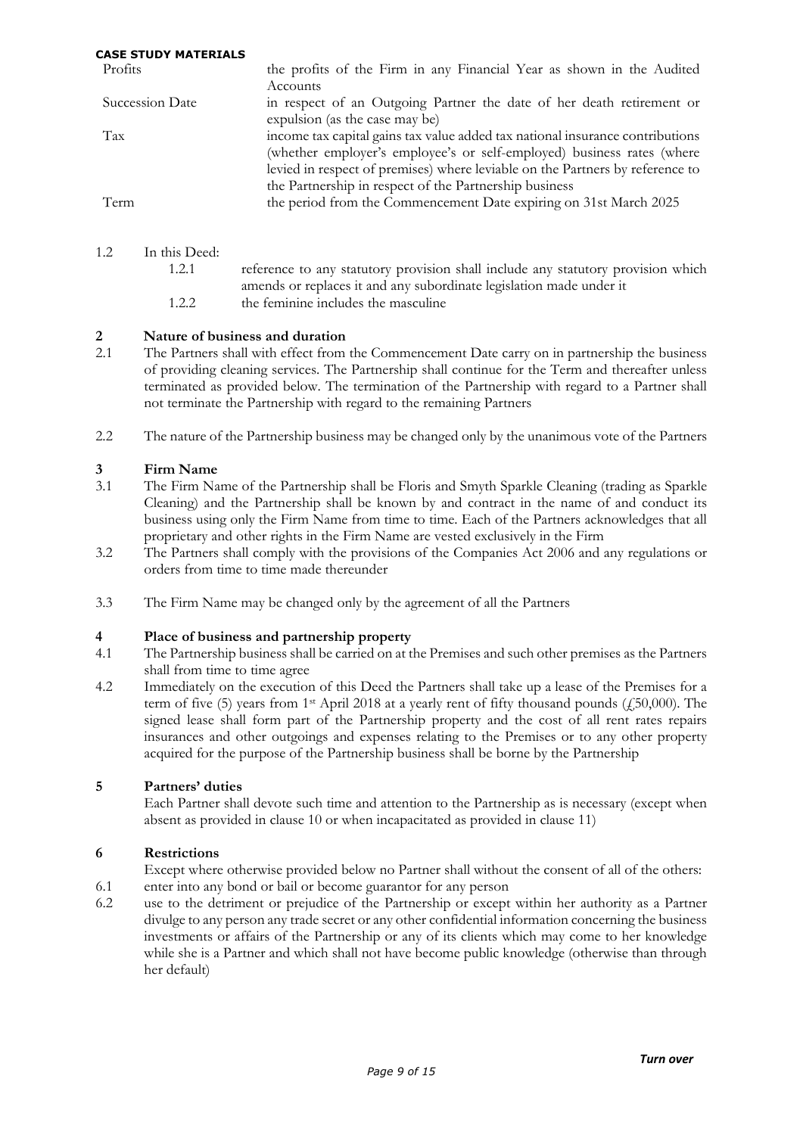| Profits         | the profits of the Firm in any Financial Year as shown in the Audited                                   |
|-----------------|---------------------------------------------------------------------------------------------------------|
|                 | Accounts                                                                                                |
| Succession Date | in respect of an Outgoing Partner the date of her death retirement or<br>expulsion (as the case may be) |
|                 |                                                                                                         |
| Tax             | income tax capital gains tax value added tax national insurance contributions                           |
|                 | (whether employer's employee's or self-employed) business rates (where                                  |
|                 | levied in respect of premises) where leviable on the Partners by reference to                           |
|                 | the Partnership in respect of the Partnership business                                                  |
| Term            | the period from the Commencement Date expiring on 31st March 2025                                       |
|                 |                                                                                                         |
|                 |                                                                                                         |

- 1.2 In this Deed:
	- 1.2.1 reference to any statutory provision shall include any statutory provision which amends or replaces it and any subordinate legislation made under it 1.2.2 the feminine includes the masculine

# **2 1 Nature of business and duration**<br>**2.1 The Partners shall with effect from**

- 2.1 The Partners shall with effect from the Commencement Date carry on in partnership the business of providing cleaning services. The Partnership shall continue for the Term and thereafter unless terminated as provided below. The termination of the Partnership with regard to a Partner shall not terminate the Partnership with regard to the remaining Partners
- 2.2 The nature of the Partnership business may be changed only by the unanimous vote of the Partners

# **3 Firm Name**

- 3.1 The Firm Name of the Partnership shall be Floris and Smyth Sparkle Cleaning (trading as Sparkle Cleaning) and the Partnership shall be known by and contract in the name of and conduct its business using only the Firm Name from time to time. Each of the Partners acknowledges that all proprietary and other rights in the Firm Name are vested exclusively in the Firm
- 3.2 The Partners shall comply with the provisions of the Companies Act 2006 and any regulations or orders from time to time made thereunder
- 3.3 The Firm Name may be changed only by the agreement of all the Partners

## **4 Place of business and partnership property**

- 4.1 The Partnership business shall be carried on at the Premises and such other premises as the Partners shall from time to time agree
- 4.2 Immediately on the execution of this Deed the Partners shall take up a lease of the Premises for a term of five (5) years from 1<sup>st</sup> April 2018 at a yearly rent of fifty thousand pounds ( $\mu$ 50,000). The signed lease shall form part of the Partnership property and the cost of all rent rates repairs insurances and other outgoings and expenses relating to the Premises or to any other property acquired for the purpose of the Partnership business shall be borne by the Partnership

## **5 Partners' duties**

Each Partner shall devote such time and attention to the Partnership as is necessary (except when absent as provided in clause 10 or when incapacitated as provided in clause 11)

# **6 Restrictions**

- Except where otherwise provided below no Partner shall without the consent of all of the others:
- 6.1 enter into any bond or bail or become guarantor for any person
- 6.2 use to the detriment or prejudice of the Partnership or except within her authority as a Partner divulge to any person any trade secret or any other confidential information concerning the business investments or affairs of the Partnership or any of its clients which may come to her knowledge while she is a Partner and which shall not have become public knowledge (otherwise than through her default)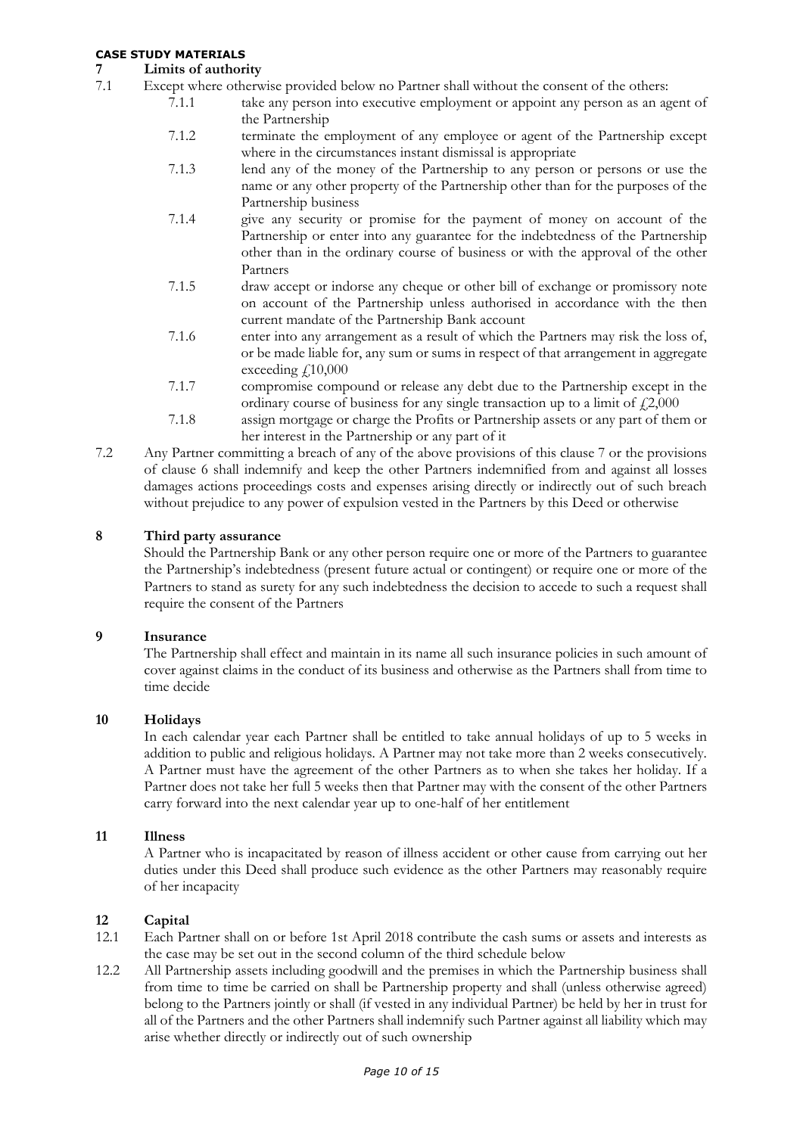# **7 Limits of authority**

- Except where otherwise provided below no Partner shall without the consent of the others:
	- 7.1.1 take any person into executive employment or appoint any person as an agent of the Partnership
		- 7.1.2 terminate the employment of any employee or agent of the Partnership except where in the circumstances instant dismissal is appropriate
		- 7.1.3 lend any of the money of the Partnership to any person or persons or use the name or any other property of the Partnership other than for the purposes of the Partnership business
		- 7.1.4 give any security or promise for the payment of money on account of the Partnership or enter into any guarantee for the indebtedness of the Partnership other than in the ordinary course of business or with the approval of the other Partners
		- 7.1.5 draw accept or indorse any cheque or other bill of exchange or promissory note on account of the Partnership unless authorised in accordance with the then current mandate of the Partnership Bank account
		- 7.1.6 enter into any arrangement as a result of which the Partners may risk the loss of, or be made liable for, any sum or sums in respect of that arrangement in aggregate exceeding  $f10,000$
		- 7.1.7 compromise compound or release any debt due to the Partnership except in the ordinary course of business for any single transaction up to a limit of  $\text{\textsterling}2,000$
		- 7.1.8 assign mortgage or charge the Profits or Partnership assets or any part of them or her interest in the Partnership or any part of it
- 7.2 Any Partner committing a breach of any of the above provisions of this clause 7 or the provisions of clause 6 shall indemnify and keep the other Partners indemnified from and against all losses damages actions proceedings costs and expenses arising directly or indirectly out of such breach without prejudice to any power of expulsion vested in the Partners by this Deed or otherwise

# **8 Third party assurance**

Should the Partnership Bank or any other person require one or more of the Partners to guarantee the Partnership's indebtedness (present future actual or contingent) or require one or more of the Partners to stand as surety for any such indebtedness the decision to accede to such a request shall require the consent of the Partners

## **9 Insurance**

The Partnership shall effect and maintain in its name all such insurance policies in such amount of cover against claims in the conduct of its business and otherwise as the Partners shall from time to time decide

## **10 Holidays**

In each calendar year each Partner shall be entitled to take annual holidays of up to 5 weeks in addition to public and religious holidays. A Partner may not take more than 2 weeks consecutively. A Partner must have the agreement of the other Partners as to when she takes her holiday. If a Partner does not take her full 5 weeks then that Partner may with the consent of the other Partners carry forward into the next calendar year up to one-half of her entitlement

## **11 Illness**

A Partner who is incapacitated by reason of illness accident or other cause from carrying out her duties under this Deed shall produce such evidence as the other Partners may reasonably require of her incapacity

# **12 Capital**

- 12.1 Each Partner shall on or before 1st April 2018 contribute the cash sums or assets and interests as the case may be set out in the second column of the third schedule below
- 12.2 All Partnership assets including goodwill and the premises in which the Partnership business shall from time to time be carried on shall be Partnership property and shall (unless otherwise agreed) belong to the Partners jointly or shall (if vested in any individual Partner) be held by her in trust for all of the Partners and the other Partners shall indemnify such Partner against all liability which may arise whether directly or indirectly out of such ownership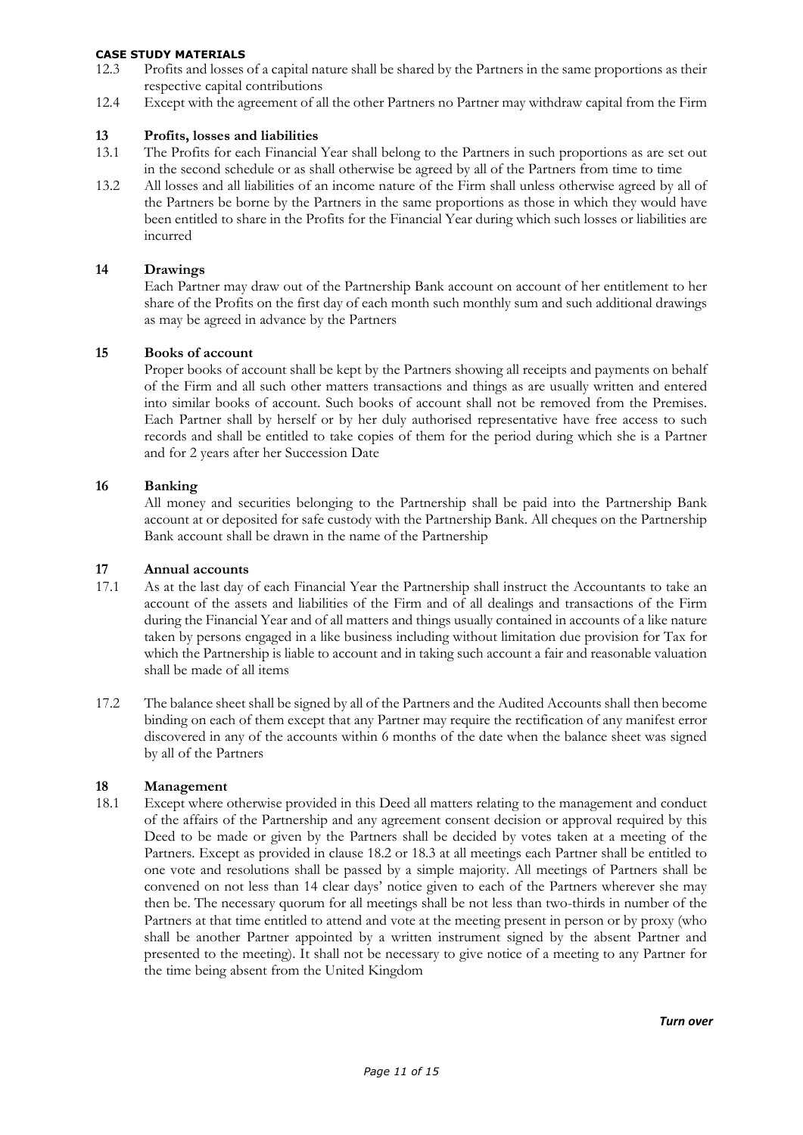- 12.3 Profits and losses of a capital nature shall be shared by the Partners in the same proportions as their respective capital contributions
- 12.4 Except with the agreement of all the other Partners no Partner may withdraw capital from the Firm

# **13 Profits, losses and liabilities**

- The Profits for each Financial Year shall belong to the Partners in such proportions as are set out in the second schedule or as shall otherwise be agreed by all of the Partners from time to time
- 13.2 All losses and all liabilities of an income nature of the Firm shall unless otherwise agreed by all of the Partners be borne by the Partners in the same proportions as those in which they would have been entitled to share in the Profits for the Financial Year during which such losses or liabilities are incurred

#### **14 Drawings**

Each Partner may draw out of the Partnership Bank account on account of her entitlement to her share of the Profits on the first day of each month such monthly sum and such additional drawings as may be agreed in advance by the Partners

#### **15 Books of account**

Proper books of account shall be kept by the Partners showing all receipts and payments on behalf of the Firm and all such other matters transactions and things as are usually written and entered into similar books of account. Such books of account shall not be removed from the Premises. Each Partner shall by herself or by her duly authorised representative have free access to such records and shall be entitled to take copies of them for the period during which she is a Partner and for 2 years after her Succession Date

#### **16 Banking**

All money and securities belonging to the Partnership shall be paid into the Partnership Bank account at or deposited for safe custody with the Partnership Bank. All cheques on the Partnership Bank account shall be drawn in the name of the Partnership

#### **17 Annual accounts**

- 17.1 As at the last day of each Financial Year the Partnership shall instruct the Accountants to take an account of the assets and liabilities of the Firm and of all dealings and transactions of the Firm during the Financial Year and of all matters and things usually contained in accounts of a like nature taken by persons engaged in a like business including without limitation due provision for Tax for which the Partnership is liable to account and in taking such account a fair and reasonable valuation shall be made of all items
- 17.2 The balance sheet shall be signed by all of the Partners and the Audited Accounts shall then become binding on each of them except that any Partner may require the rectification of any manifest error discovered in any of the accounts within 6 months of the date when the balance sheet was signed by all of the Partners

# **18 Management**<br>**18.1 Except where**

Except where otherwise provided in this Deed all matters relating to the management and conduct of the affairs of the Partnership and any agreement consent decision or approval required by this Deed to be made or given by the Partners shall be decided by votes taken at a meeting of the Partners. Except as provided in clause 18.2 or 18.3 at all meetings each Partner shall be entitled to one vote and resolutions shall be passed by a simple majority. All meetings of Partners shall be convened on not less than 14 clear days' notice given to each of the Partners wherever she may then be. The necessary quorum for all meetings shall be not less than two-thirds in number of the Partners at that time entitled to attend and vote at the meeting present in person or by proxy (who shall be another Partner appointed by a written instrument signed by the absent Partner and presented to the meeting). It shall not be necessary to give notice of a meeting to any Partner for the time being absent from the United Kingdom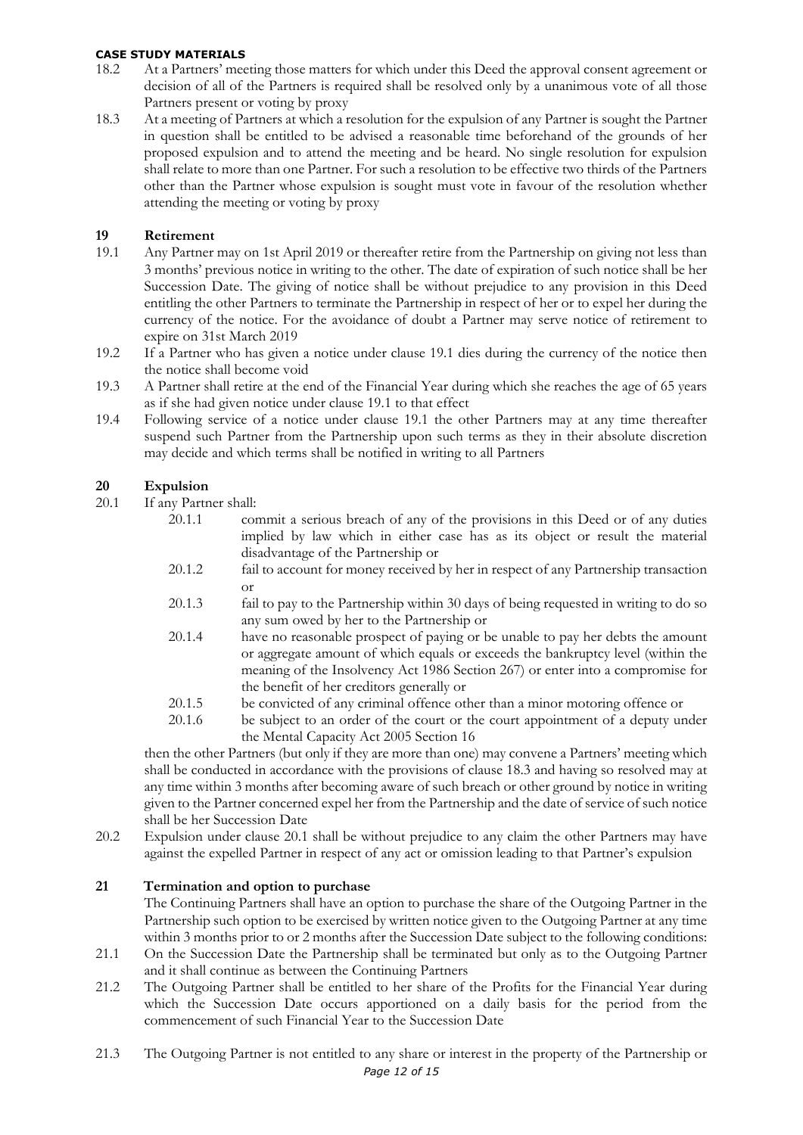- 18.2 At a Partners' meeting those matters for which under this Deed the approval consent agreement or decision of all of the Partners is required shall be resolved only by a unanimous vote of all those Partners present or voting by proxy
- 18.3 At a meeting of Partners at which a resolution for the expulsion of any Partner is sought the Partner in question shall be entitled to be advised a reasonable time beforehand of the grounds of her proposed expulsion and to attend the meeting and be heard. No single resolution for expulsion shall relate to more than one Partner. For such a resolution to be effective two thirds of the Partners other than the Partner whose expulsion is sought must vote in favour of the resolution whether attending the meeting or voting by proxy

# **19 Retirement**

- 19.1 Any Partner may on 1st April 2019 or thereafter retire from the Partnership on giving not less than 3 months' previous notice in writing to the other. The date of expiration of such notice shall be her Succession Date. The giving of notice shall be without prejudice to any provision in this Deed entitling the other Partners to terminate the Partnership in respect of her or to expel her during the currency of the notice. For the avoidance of doubt a Partner may serve notice of retirement to expire on 31st March 2019
- 19.2 If a Partner who has given a notice under clause 19.1 dies during the currency of the notice then the notice shall become void
- 19.3 A Partner shall retire at the end of the Financial Year during which she reaches the age of 65 years as if she had given notice under clause 19.1 to that effect
- 19.4 Following service of a notice under clause 19.1 the other Partners may at any time thereafter suspend such Partner from the Partnership upon such terms as they in their absolute discretion may decide and which terms shall be notified in writing to all Partners

# **20 Expulsion**

- 20.1 If any Partner shall:
	- 20.1.1 commit a serious breach of any of the provisions in this Deed or of any duties implied by law which in either case has as its object or result the material disadvantage of the Partnership or
	- 20.1.2 fail to account for money received by her in respect of any Partnership transaction or
	- 20.1.3 fail to pay to the Partnership within 30 days of being requested in writing to do so any sum owed by her to the Partnership or
	- 20.1.4 have no reasonable prospect of paying or be unable to pay her debts the amount or aggregate amount of which equals or exceeds the bankruptcy level (within the meaning of the Insolvency Act 1986 Section 267) or enter into a compromise for the benefit of her creditors generally or
	- 20.1.5 be convicted of any criminal offence other than a minor motoring offence or
	- 20.1.6 be subject to an order of the court or the court appointment of a deputy under the Mental Capacity Act 2005 Section 16

then the other Partners (but only if they are more than one) may convene a Partners' meeting which shall be conducted in accordance with the provisions of clause 18.3 and having so resolved may at any time within 3 months after becoming aware of such breach or other ground by notice in writing given to the Partner concerned expel her from the Partnership and the date of service of such notice shall be her Succession Date

20.2 Expulsion under clause 20.1 shall be without prejudice to any claim the other Partners may have against the expelled Partner in respect of any act or omission leading to that Partner's expulsion

## **21 Termination and option to purchase**

The Continuing Partners shall have an option to purchase the share of the Outgoing Partner in the Partnership such option to be exercised by written notice given to the Outgoing Partner at any time within 3 months prior to or 2 months after the Succession Date subject to the following conditions:

- 21.1 On the Succession Date the Partnership shall be terminated but only as to the Outgoing Partner and it shall continue as between the Continuing Partners
- 21.2 The Outgoing Partner shall be entitled to her share of the Profits for the Financial Year during which the Succession Date occurs apportioned on a daily basis for the period from the commencement of such Financial Year to the Succession Date
- *Page 12 of 15* 21.3 The Outgoing Partner is not entitled to any share or interest in the property of the Partnership or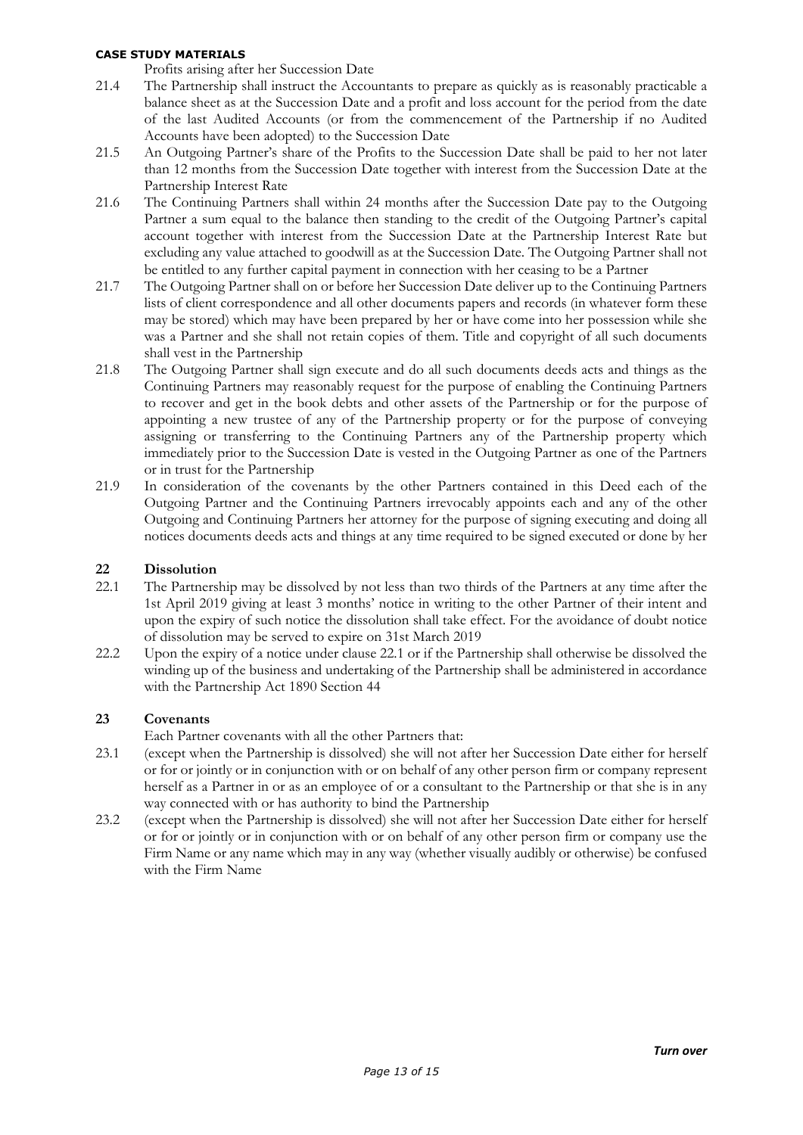Profits arising after her Succession Date

- 21.4 The Partnership shall instruct the Accountants to prepare as quickly as is reasonably practicable a balance sheet as at the Succession Date and a profit and loss account for the period from the date of the last Audited Accounts (or from the commencement of the Partnership if no Audited Accounts have been adopted) to the Succession Date
- 21.5 An Outgoing Partner's share of the Profits to the Succession Date shall be paid to her not later than 12 months from the Succession Date together with interest from the Succession Date at the Partnership Interest Rate
- 21.6 The Continuing Partners shall within 24 months after the Succession Date pay to the Outgoing Partner a sum equal to the balance then standing to the credit of the Outgoing Partner's capital account together with interest from the Succession Date at the Partnership Interest Rate but excluding any value attached to goodwill as at the Succession Date. The Outgoing Partner shall not be entitled to any further capital payment in connection with her ceasing to be a Partner
- 21.7 The Outgoing Partner shall on or before her Succession Date deliver up to the Continuing Partners lists of client correspondence and all other documents papers and records (in whatever form these may be stored) which may have been prepared by her or have come into her possession while she was a Partner and she shall not retain copies of them. Title and copyright of all such documents shall vest in the Partnership
- 21.8 The Outgoing Partner shall sign execute and do all such documents deeds acts and things as the Continuing Partners may reasonably request for the purpose of enabling the Continuing Partners to recover and get in the book debts and other assets of the Partnership or for the purpose of appointing a new trustee of any of the Partnership property or for the purpose of conveying assigning or transferring to the Continuing Partners any of the Partnership property which immediately prior to the Succession Date is vested in the Outgoing Partner as one of the Partners or in trust for the Partnership
- 21.9 In consideration of the covenants by the other Partners contained in this Deed each of the Outgoing Partner and the Continuing Partners irrevocably appoints each and any of the other Outgoing and Continuing Partners her attorney for the purpose of signing executing and doing all notices documents deeds acts and things at any time required to be signed executed or done by her

# **22 Dissolution**

- 22.1 The Partnership may be dissolved by not less than two thirds of the Partners at any time after the 1st April 2019 giving at least 3 months' notice in writing to the other Partner of their intent and upon the expiry of such notice the dissolution shall take effect. For the avoidance of doubt notice of dissolution may be served to expire on 31st March 2019
- 22.2 Upon the expiry of a notice under clause 22.1 or if the Partnership shall otherwise be dissolved the winding up of the business and undertaking of the Partnership shall be administered in accordance with the Partnership Act 1890 Section 44

## **23 Covenants**

Each Partner covenants with all the other Partners that:

- 23.1 (except when the Partnership is dissolved) she will not after her Succession Date either for herself or for or jointly or in conjunction with or on behalf of any other person firm or company represent herself as a Partner in or as an employee of or a consultant to the Partnership or that she is in any way connected with or has authority to bind the Partnership
- 23.2 (except when the Partnership is dissolved) she will not after her Succession Date either for herself or for or jointly or in conjunction with or on behalf of any other person firm or company use the Firm Name or any name which may in any way (whether visually audibly or otherwise) be confused with the Firm Name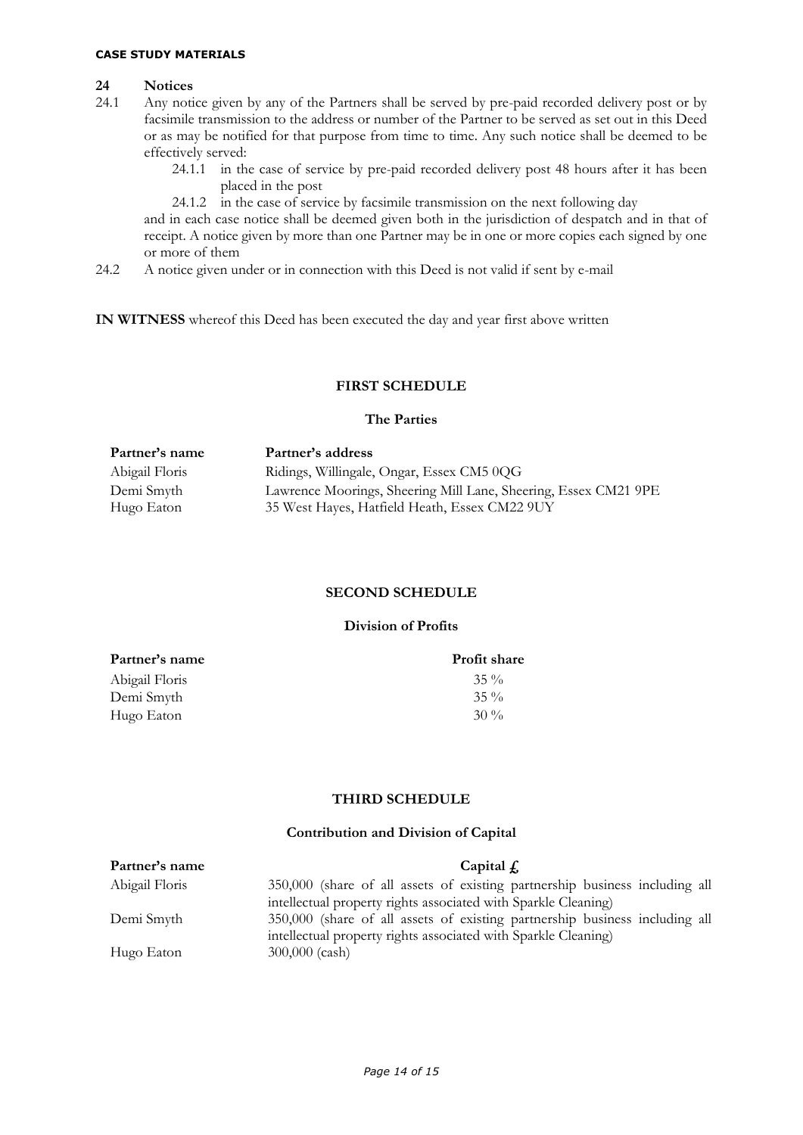#### **24 Notices**

- 24.1 Any notice given by any of the Partners shall be served by pre-paid recorded delivery post or by facsimile transmission to the address or number of the Partner to be served as set out in this Deed or as may be notified for that purpose from time to time. Any such notice shall be deemed to be effectively served:
	- 24.1.1 in the case of service by pre-paid recorded delivery post 48 hours after it has been placed in the post
	- 24.1.2 in the case of service by facsimile transmission on the next following day

and in each case notice shall be deemed given both in the jurisdiction of despatch and in that of receipt. A notice given by more than one Partner may be in one or more copies each signed by one or more of them

24.2 A notice given under or in connection with this Deed is not valid if sent by e-mail

**IN WITNESS** whereof this Deed has been executed the day and year first above written

## **FIRST SCHEDULE**

#### **The Parties**

| Partner's name | Partner's address                                               |
|----------------|-----------------------------------------------------------------|
| Abigail Floris | Ridings, Willingale, Ongar, Essex CM5 0QG                       |
| Demi Smyth     | Lawrence Moorings, Sheering Mill Lane, Sheering, Essex CM21 9PE |
| Hugo Eaton     | 35 West Hayes, Hatfield Heath, Essex CM22 9UY                   |
|                |                                                                 |

#### **SECOND SCHEDULE**

### **Division of Profits**

| Partner's name | <b>Profit share</b> |
|----------------|---------------------|
| Abigail Floris | $35\%$              |
| Demi Smyth     | $35\%$              |
| Hugo Eaton     | $30\%$              |

#### **THIRD SCHEDULE**

# **Contribution and Division of Capital**

| Partner's name | Capital $fi$                                                                |
|----------------|-----------------------------------------------------------------------------|
| Abigail Floris | 350,000 (share of all assets of existing partnership business including all |
|                | intellectual property rights associated with Sparkle Cleaning)              |
| Demi Smyth     | 350,000 (share of all assets of existing partnership business including all |
|                | intellectual property rights associated with Sparkle Cleaning)              |
| Hugo Eaton     | 300,000 (cash)                                                              |